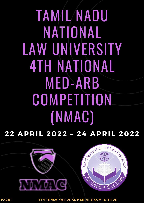# TAMIL NADU NATIONAL LAW UNIVERSITY 4TH NATIONAL MED-ARB COMPETITION (NMAC)

**22 AP R I L 2 0 22 – 24 AP R I L 2 0 22**





**PAG E 1 4TH TNNLU NATI O NAL MED-AR B C OMPETITI O N**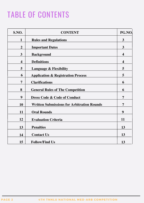## TABLE OF CONTENTS

| S.NO.          | <b>CONTENT</b>                                    | PG.NO.                  |
|----------------|---------------------------------------------------|-------------------------|
| 1              | <b>Rules and Regulations</b>                      | $\overline{3}$          |
| $\overline{2}$ | <b>Important Dates</b>                            | $\mathbf{3}$            |
| 3              | <b>Background</b>                                 | $\overline{\mathbf{4}}$ |
| 4              | <b>Definitions</b>                                | $\overline{\mathbf{4}}$ |
| 5              | <b>Language &amp; Flexibility</b>                 | 5                       |
| 6              | <b>Application &amp; Registration Process</b>     | 5                       |
| 7              | <b>Clarifications</b>                             | 6                       |
| 8              | <b>General Rules of The Competition</b>           | 6                       |
| 9              | <b>Dress Code &amp; Code of Conduct</b>           | 7                       |
| 10             | <b>Written Submissions for Arbitration Rounds</b> | 7                       |
| 11             | <b>Oral Rounds</b>                                | 9                       |
| 12             | <b>Evaluation Criteria</b>                        | 11                      |
| 13             | <b>Penalties</b>                                  | 13                      |
| 14             | <b>Contact Us</b>                                 | 13                      |
| 15             | <b>Follow/Find Us</b>                             | 13                      |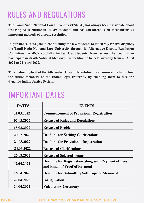### RULES AND REGULATIONS

**The Tamil Nadu National Law University (TNNLU) has always been passionate about fostering ADR culture in its law students and has considered ADR mechanisms as important methods of dispute resolution.**

**In pursuance of its goal of conditioning the law students to efficiently resolve disputes, the Tamil Nadu National Law University through its Alternative Dispute Resolution Committee (ADRC) cordially invites law students from across the country to participate in its 4th National Med-Arb Competition to be held virtually from 22 April 2022 to 24 April 2022.**

**This distinct hybrid of the Alternative Dispute Resolution mechanism aims to nurture the future members of the Indian legal fraternity by enabling them to face the dynamic Indian Justice System.**

### IMPORTANT DATES

| <b>DATES</b> | <b>EVENTS</b>                                                                                |
|--------------|----------------------------------------------------------------------------------------------|
| 02.03.2022   | <b>Commencement of Provisional Registration</b>                                              |
| 02.03.2022   | <b>Release of Rules and Regulations</b>                                                      |
| 15.03.2022   | <b>Release of Problem</b>                                                                    |
| 20.03.2022   | <b>Deadline for Seeking Clarifications</b>                                                   |
| 24.03.2022   | <b>Deadline for Provisional Registration</b>                                                 |
| 24.03.2022   | <b>Release of Clarifications</b>                                                             |
| 26.03.2022   | <b>Release of Selected Teams</b>                                                             |
| 02.04.2022   | <b>Deadline for Registration along with Payment of Fees</b><br>and Email of Proof of Payment |
| 16.04.2022   | <b>Deadline for Submitting Soft Copy of Memorial</b>                                         |
| 22.04.2022   | <b>Inauguration</b>                                                                          |
| 24.04.2022   | <b>Valedictory Ceremony</b>                                                                  |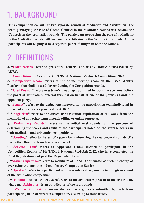### 1. BACKGROUND

**This competition consists of two separate rounds of Mediation and Arbitration. The team portraying the role of Client- Counsel in the Mediation rounds will become the Counsels in the Arbitration rounds. The participant portraying the role of a Mediator in the Mediation rounds will become the Arbitrator in the Arbitration Rounds. All the participants will be judged by a separate panel of Judges in both the rounds.**

### 2. DEFINITIONS

**a. "Clarifications" refer to procedural order(s) and/or any clarification(s) issued by ADRC.**

**b. "Competition" refers to the 4th TNNLU National Med-Arb Competition, 2022.**

**c. "Competition Room" refers to the online meeting room on the Cisco WebEx Platform that shall be used for conducting the Competition rounds.**

**d. "Oral Rounds" refers to a team's pleadings submitted by both the speakers before the panel of arbitrators/ arbitral tribunal on behalf of one of the parties against the opponent party.**

**e. "Penalty" refers to the deductions imposed on the participating team/individual in breach of any rules, as provided by ADRC.**

**f. "Plagiarism" refer to the direct or substantial duplication of the work from the memorial of any other team through offline or online source(s).**

**g. "Preliminary Rounds" refers to the initial oral rounds for the purpose of determining the scores and ranks of the participants based on the average scores in both mediation and arbitration competitions.**

**h. "Scouting" refers to the act of a participant observing the sessions/oral rounds of a team other than the team he/she is a part of.**

**i. "Selected Team" refers to Applicant Teams selected to participate in the Competition Rounds of 4th TNNLU National Med-Arb 2022, who have completed the Final Registration and paid the Registration Fees.**

**j. "Session Supervisor" refers to member/s of TNNLU designated as such, in charge of overseeing the smooth conduct of every Competition Session.**

**k. "Speaker" refers to a participant who presents oral arguments in any given round of the arbitration competition.**

**l. "Tribunal" means a collective reference to the arbitrators present at the oral round, where an "Arbitrator" is an adjudicator of the oral rounds.**

**m. "Written Submissions" means the written arguments submitted by each team participating in an arbitration competition, according to these Rules.**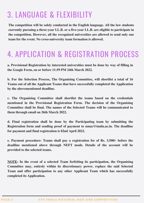### 3. LANGUAGE & FLEXIBILITY

**The competition will be solely conducted in the English language. All the law students currently pursuing a three-year LL.B. or a five-year LL.B. are eligible to participate in the competition. However, all the recognized universities are allowed to send only one team for the event. No cross-university team formation is allowed.**

### 4. APPLICATION & REGISTRATION PROCESS

**a. Provisional Registration by interested universities must be done by way of filling in the Google Form, on or before 11:59 PM 24th March 2022.**

**b. For the Selection Process, The Organising Committee, will shortlist a total of 16 Teams out of all the Applicant Teams that have successfully completed the Application by the abovementioned deadline.**

**c. The Organising Committee shall shortlist the teams based on the credentials mentioned in the Provisional Registration Form. The decision of the Organising Committee shall be final. The names of the Selected Teams will be communicated to them through email on 26th March 2022.**

**d. Final registration shall be done by the Participating team by submitting the Registration form and sending proof of payment to [nmac@tnnlu.ac.in.](mailto:nmac@tnnlu.ac.in) The deadline for payment and final registration is 02nd April 2022.**

**e. Payment procedure: Teams shall pay a registration fee of Rs. 3,500/- before the deadline mentioned above through NEFT mode. Details of the account will be provided to the selected teams.**

**NOTE: In the event of a selected Team forfeiting its participation, the Organising Committee may, entirely within its discretionary power, replace the said Selected Team and offer participation to any other Applicant Team which has successfully completed its Application.**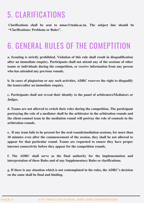### 5. CLARIFICATIONS

**Clarifications shall be sent to [nmac@tnnlu.ac.in.](mailto:nmac@tnnlu.ac.in) The subject line should be "Clarifications: Problems or Rules".**

### 6. GENERAL RULES OF THE COMEPTITION

**a. Scouting is strictly prohibited. Violation of this rule shall result in disqualification after an immediate enquiry. Participants shall not attend any of the sessions of other teams or individuals during the competition, or receive information from any person who has attended any previous rounds.**

**b. In cases of plagiarism or any such activities, ADRC reserves the right to disqualify the team(s)after an immediate enquiry.**

**c. Participants shall not reveal their identity to the panel of arbitrators/Mediators or Judges.**

**d. Teams are not allowed to switch their roles during the competition. The participant portraying the role of a mediator shall be the arbitrator in the arbitration rounds and the client-counsel team in the mediation round will portray the role of counsels in the arbitration rounds.**

**e. If any team fails to be present for the oral rounds/mediation sessions, for more than 10 minutes even after the commencement of the session, they shall be not allowed to appear for that particular round. Teams are requested to ensure they have proper internet connectivity before they appear for the competition rounds.**

**f. The ADRC shall serve as the final authority for the implementation and interpretation of these Rules and of any Supplementary Rules or clarifications.**

**g. If there is any situation which is not contemplated in the rules, the ADRC's decision on the same shall be final and binding.**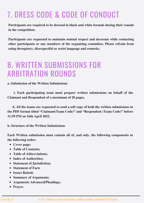### 7. DRESS CODE & CODE OF CONDUCT

**Participants are required to be dressed in black and white formals during their rounds in the competition.**

**Participants are requested to maintain mutual respect and decorum while contacting other participants or any members of the organising committee. Please refrain from using derogatory, disrespectful or sexist language and remarks.**

### 8. WRITTEN SUBMISSIONS FOR ARBITRATION ROUNDS

**a. Submission of the Written Submissions**

**i. Each participating team must prepare written submissions on behalf of the Claimant and Respondent of a maximum of 20 pages.**

**ii. All the teams are requested to send a soft copy of both the written submissions in the PDF format titled "Claimant(Team Code)" and "Respondent (Team Code)" before 11:59 PM on 16th April 2022.**

**b. Structure of the Written Submissions**

**Each Written submission must contain all of, and only, the following components in the following order:**

- **Cover page;**
- **Table of Contents;**
- **Table of Abbreviations;**
- **Index of Authorities;**
- **Statement of Jurisdiction;**
- **Statement of Facts**
- **Issues Raised;**
- **Summary of Arguments;**
- **Arguments Advanced/Pleadings;**
- **Prayer.**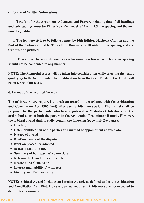#### **c. Format of Written Submissions**

**i. Text font for the Arguments Advanced and Prayer, including that of all headings and subheadings, must be Times New Roman, size 12 with 1.5 line spacing and the text must be justified.**

**ii. The footnote style to be followed must be 20th Edition Bluebook Citation and the font of the footnotes must be Times New Roman, size 10 with 1.0 line spacing and the text must be justified.**

**iii. There must be no additional space between two footnotes. Character spacing should not be condensed in any manner.**

**NOTE: The Memorial scores will be taken into consideration while selecting the teams qualifying to the Semi Finals. The qualification from the Semi Finals to the Finals will be on Knock Out basis.**

**d. Format of the Arbitral Awards**

**The arbitrators are required to draft an award, in accordance with the Arbitration and Conciliation Act, 1996 (Act) after each arbitration session. The award shall be prepared by the participants, who have registered as Mediator/Arbitrator after the oral submissions of both the parties in the Arbitration Preliminary Rounds. However, the arbitral award shall broadly contain the following (page limit 2-6 pages):**

- **Heading**
- **Date, Identification of the parties and method of appointment of arbitrator**
- **Nature of award**
- **Brief on nature of the dispute**
- **Brief on procedure adopted**
- **Issues of facts and law**
- **Summary of both parties' contentions**
- **Relevant facts and laws applicable**
- **Reasons and Conclusion**
- **Interest and liability if, with cost**
- **Finality and Enforceability**

**NOTE: Arbitral Award Includes an Interim Award, as defined under the Arbitration and Conciliation Act, 1996. However, unless required, Arbitrators are not expected to draft interim awards.**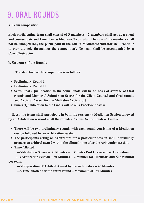### 9. ORAL ROUNDS

#### **a. Team composition**

**Each participating team shall consist of 3 members - 2 members shall act as a client and counsel pair and 1 member as Mediator/Arbitrator. The role of the members shall not be changed (i.e., the participant in the role of Mediator/Arbitrator shall continue to play the role throughout the competition). No team shall be accompanied by a Coach/Instructor.**

**b. Structure of the Rounds**

**i. The structure of the competition is as follows:**

- **Preliminary Round I**
- **Preliminary Round II**
- **Semi-Final (Qualification to the Semi Finals will be on basis of average of Oral rounds and Memorial Submission Scores for the Client Counsel and Oral rounds and Arbitral Award for the Mediator-Arbitrator)**
- **Finals (Qualification to the Finals will be on a knock-out basis).**

**ii. All the teams shall participate in both the sessions (a Mediation Session followed by an Arbitration session) in all the rounds (Prelims, Semi- Finals & Finals).**

- **There will be two preliminary rounds with each round consisting of a Mediation session followed by an Arbitration session.**
- **The participants acting as Arbitrators for a particular session shall individually prepare an arbitral award within the allotted time after the Arbitration session.**
- **Time Allotted:**

**--->Mediation Session– 30 Minutes + 5 Minutes Post Discussion & Evaluation**

**--->Arbitration Session – 30 Minutes + 2 minutes for Rebuttals and Sur-rebuttal per team.**

**--->Preparation of Arbitral Award by the Arbitrators – 45 Minutes**

**--->Time allotted for the entire round – Maximum of 150 Minutes**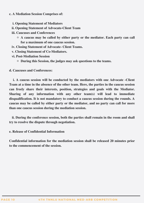#### **c. A Mediation Session Comprises of:**

- **i. Opening Statement of Mediators**
- **ii. Opening Statement of Advocate-Client Team**
- **iii. Caucuses and Conferences**
	- **A caucus may be called by either party or the mediator. Each party can call for a maximum of one caucus session.**
- **iv. Closing Statement of Advocate- Client Teams.**
- **v. Closing Statement of Co-Mediators.**
- **vi. Post-Mediation Session**
	- **During this Session, the judges may ask questions to the teams.**
- **d. Caucuses and Conferences:**

**i. A caucus session will be conducted by the mediators with one Advocate -Client Team at a time in the absence of the other team. Here, the parties in the caucus session can freely share their interests, position, strategies and goals with the Mediator. Sharing of any information with any other team(s) will lead to immediate disqualification. It is not mandatory to conduct a caucus session during the rounds. A caucus may be called by either party or the mediator, and no party can call for more than one caucus session during the mediation session.**

**ii. During the conference session, both the parties shall remain in the room and shall try to resolve the dispute through negotiation.**

**e. Release of Confidential Information**

**Confidential information for the mediation session shall be released 20 minutes prior to the commencement of the session.**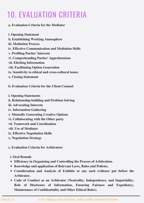### 10. EVALUATION CRITERIA

#### **a. Evaluation Criteria for the Mediator**

**i. Opening Statement ii. Establishing Working Atmosphere iii. Mediation Process iv. Effective Communication and Mediation Skills v. Profiling Parties' Interests vi. Comprehending Parties' Apprehensions vii. Eliciting Information viii. Facilitating Option Generation ix. Sensitivity to ethical and cross-cultural issues x. Closing Statement**

**b. Evaluation Criteria for the Client-Counsel**

**i. Opening Statements ii. Relationship-building and Problem Solving iii. Advocating Interests iv. Information Gathering v. Mutually Generating Creative Options vi. Collaborating with the Other party vii. Teamwork and Coordination viii. Use of Mediator ix. Effective Negotiation Skills x. Negotiation Strategy**

**c. Evaluation Criteria for Arbitrators**

**i. Oral Rounds**

- **Efficiency in Organizing and Controlling the Process of Arbitration.**
- **Knowledge and application of Relevant Laws, Rules and Policies.**
- **Consideration and Analysis of Exhibits or any such evidence put before the Arbitrator.**
- **Code of Conduct as an Arbitrator (Neutrality, Independence, and Impartiality, Role of Disclosure of Information, Ensuring Fairness and Expediency, Maintenance of Confidentiality and Other Ethical Roles).**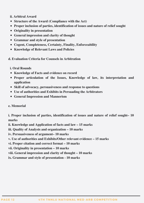**ii. Arbitral Award**

- **Structure of the Award (Compliance with the Act)**
- **Proper inclusion of parties, identification of issues and nature of relief sought**
- **Originality in presentation**
- **General impression and clarity of thought**
- **Grammar and style of presentation**
- **Cogent, Completeness, Certainty, Finality, Enforceability**
- **Knowledge of Relevant Laws and Policies**

**d. Evaluation Criteria for Counsels in Arbitration**

#### **i. Oral Rounds**

- **Knowledge of Facts and evidence on record**
- **Proper articulation of the Issues, Knowledge of law, its interpretation and application**
- **Skill of advocacy, persuasiveness and response to questions**
- **Use of authorities and Exhibits in Persuading the Arbitrators**
- **General Impression and Mannerism**

#### **e. Memorial**

**i. Proper inclusion of parties, identification of issues and nature of relief sought– 10 marks**

**ii. Knowledge and Application of facts and law – 15 marks**

**iii. Quality of Analysis and organization – 10 marks**

**iv. Persuasiveness of argument– 10 marks**

**v. Use of authorities and Exhibits/Other relevant evidence – 15 marks**

**vi. Proper citation and correct format – 10 marks**

**vii. Originality in presentation – 10 marks**

**viii. General impression and clarity of thought – 10 marks**

**ix. Grammar and style of presentation - 10 marks**